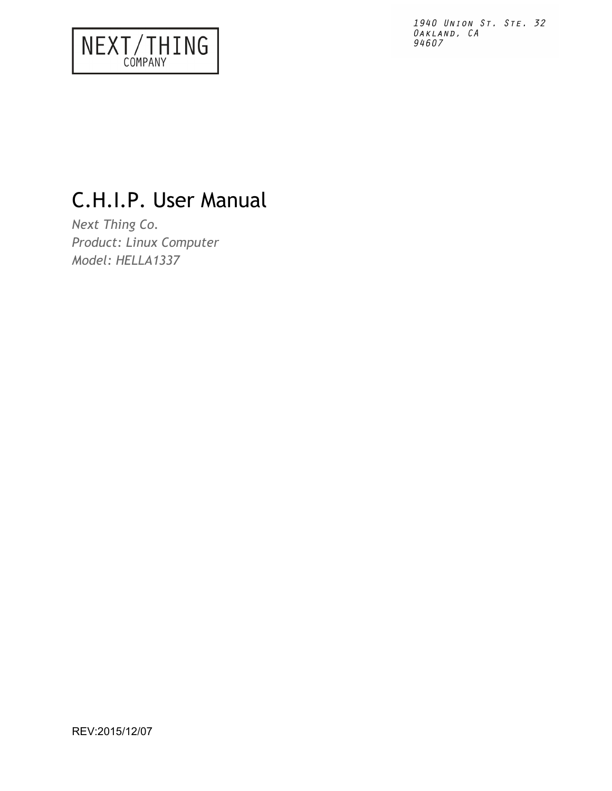# NEXT/THING

# C.H.I.P. User Manual

*Next Thing Co. Product: Linux Computer Model: HELLA1337*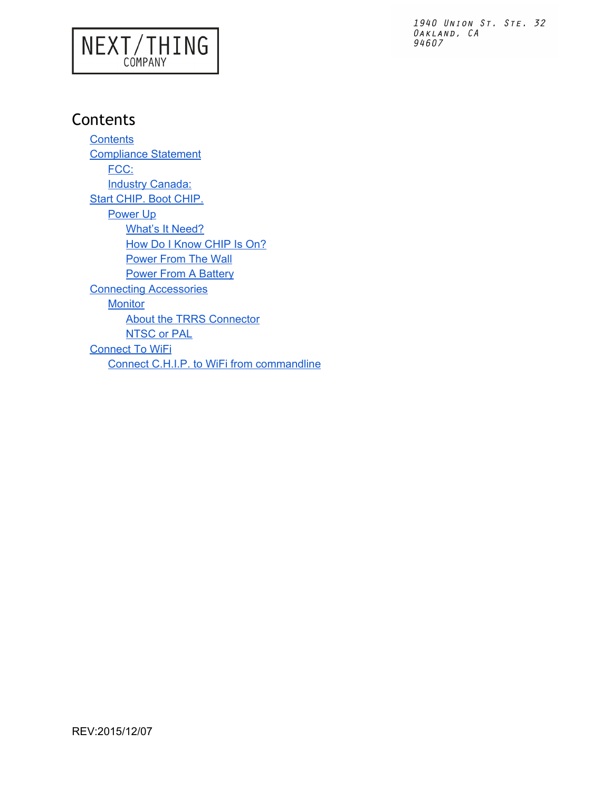# NEXT/THING

1940 UNION ST. STE. 32  $0$ AKLAND,  $CA$ 94607

# <span id="page-1-0"></span>**Contents**

**[Contents](#page-1-0)** [Compliance](#page-2-0) Statement [FCC:](#page-2-1) **Industry [Canada:](#page-2-2)** Start [CHIP.](#page-3-0) Boot CHIP. [Power](#page-3-1) Up [What's](#page-3-2) It Need? How Do I [Know](#page-3-3) CHIP Is On? [Power](#page-3-4) From The Wall **Power From A [Battery](#page-4-0)** Connecting [Accessories](#page-5-0) **[Monitor](#page-5-1)** About the TRRS [Connector](#page-6-0) [NTSC](#page-7-0) or PAL [Connect](#page-8-0) To WiFi Connect C.H.I.P. to WiFi from [commandline](#page-9-0)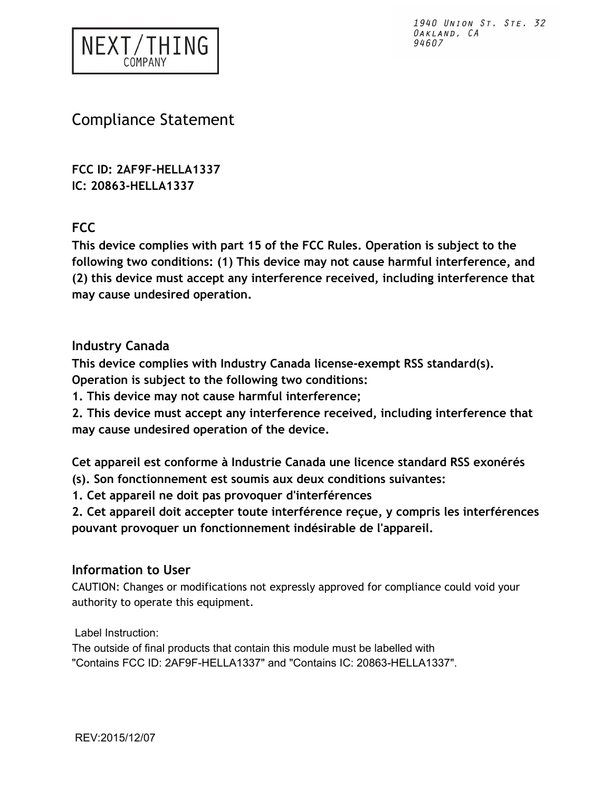

## <span id="page-2-0"></span>Compliance Statement

**FCC ID: 2AF9F-HELLA1337 IC: 20863-HELLA1337**

<span id="page-2-1"></span>**FCC** 

**This device complies with part 15 of the FCC Rules. Operation is subject to the following two conditions: (1) This device may not cause harmful interference, and (2) this device must accept any interference received, including interference that may cause undesired operation.** 

#### <span id="page-2-2"></span>**Industry Canada**

**This device complies with Industry Canada license-exempt RSS standard(s).** 

**Operation is subject to the following two conditions:** 

**1. This device may not cause harmful interference;** 

**2. This device must accept any interference received, including interference that may cause undesired operation of the device.** 

**Cet appareil est conforme à Industrie Canada une licence standard RSS exonérés (s). Son fonctionnement est soumis aux deux conditions suivantes:** 

**1. Cet appareil ne doit pas provoquer d'interférences** 

**2. Cet appareil doit accepter toute interférence reçue, y compris les interférences pouvant provoquer un fonctionnement indésirable de l'appareil.** 

#### **Information to User**

CAUTION: Changes or modifications not expressly approved for compliance could void your authority to operate this equipment.

Label Instruction:

The outside of final products that contain this module must be labelled with "Contains FCC ID: 2AF9F-HELLA1337" and "Contains IC: 20863-HELLA1337".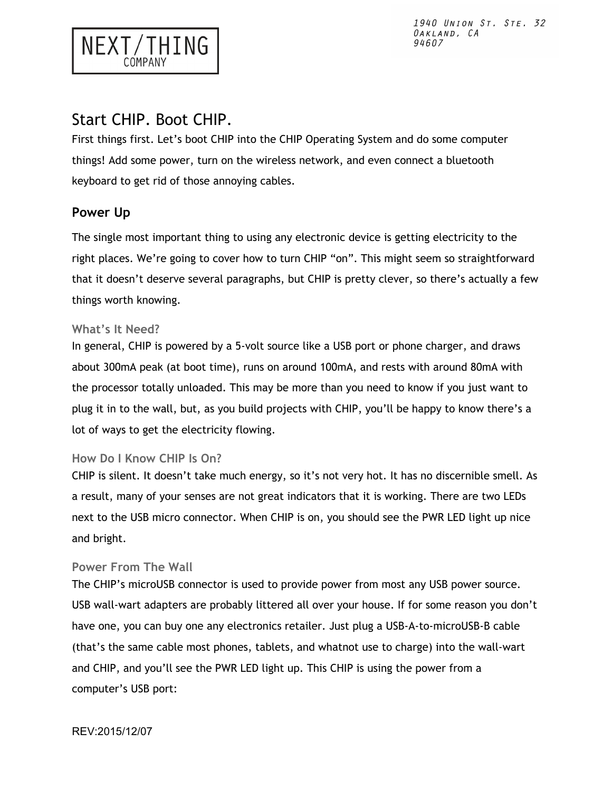### <span id="page-3-0"></span>Start CHIP. Boot CHIP.

NEXT/THING

First things first. Let's boot CHIP into the CHIP Operating System and do some computer things! Add some power, turn on the wireless network, and even connect a bluetooth keyboard to get rid of those annoying cables.

#### <span id="page-3-1"></span>**Power Up**

The single most important thing to using any electronic device is getting electricity to the right places. We're going to cover how to turn CHIP "on". This might seem so straightforward that it doesn't deserve several paragraphs, but CHIP is pretty clever, so there's actually a few things worth knowing.

#### <span id="page-3-2"></span>**What's It Need?**

In general, CHIP is powered by a 5-volt source like a USB port or phone charger, and draws about 300mA peak (at boot time), runs on around 100mA, and rests with around 80mA with the processor totally unloaded. This may be more than you need to know if you just want to plug it in to the wall, but, as you build projects with CHIP, you'll be happy to know there's a lot of ways to get the electricity flowing.

#### <span id="page-3-3"></span>**How Do I Know CHIP Is On?**

CHIP is silent. It doesn't take much energy, so it's not very hot. It has no discernible smell. As a result, many of your senses are not great indicators that it is working. There are two LEDs next to the USB micro connector. When CHIP is on, you should see the PWR LED light up nice and bright.

#### <span id="page-3-4"></span>**Power From The Wall**

The CHIP's microUSB connector is used to provide power from most any USB power source. USB wall-wart adapters are probably littered all over your house. If for some reason you don't have one, you can buy one any electronics retailer. Just plug a USB-A-to-microUSB-B cable (that's the same cable most phones, tablets, and whatnot use to charge) into the wall-wart and CHIP, and you'll see the PWR LED light up. This CHIP is using the power from a computer's USB port: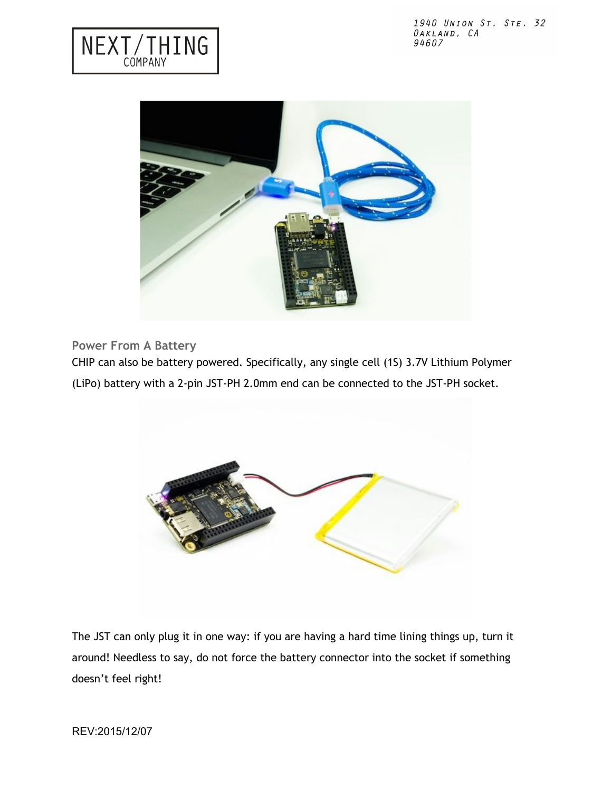



<span id="page-4-0"></span>**Power From A Battery** 

CHIP can also be battery powered. Specifically, any single cell (1S) 3.7V Lithium Polymer (LiPo) battery with a 2-pin JST-PH 2.0mm end can be connected to the JST-PH socket.



The JST can only plug it in one way: if you are having a hard time lining things up, turn it around! Needless to say, do not force the battery connector into the socket if something doesn't feel right!

REV:2015/12/07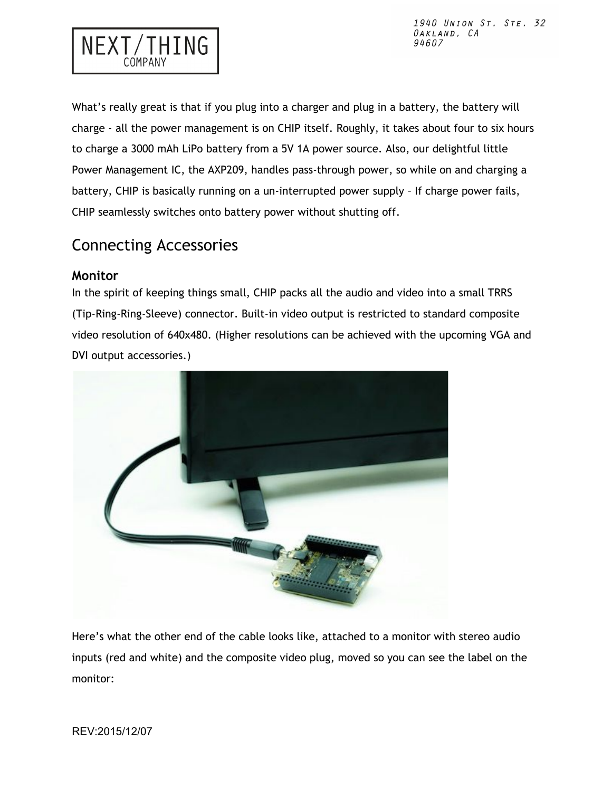

What's really great is that if you plug into a charger and plug in a battery, the battery will charge - all the power management is on CHIP itself. Roughly, it takes about four to six hours to charge a 3000 mAh LiPo battery from a 5V 1A power source. Also, our delightful little Power Management IC, the AXP209, handles pass-through power, so while on and charging a battery, CHIP is basically running on a un-interrupted power supply – If charge power fails, CHIP seamlessly switches onto battery power without shutting off.

# <span id="page-5-0"></span>Connecting Accessories

#### <span id="page-5-1"></span>**Monitor**

In the spirit of keeping things small, CHIP packs all the audio and video into a small TRRS (Tip-Ring-Ring-Sleeve) connector. Built-in video output is restricted to standard composite video resolution of 640x480. (Higher resolutions can be achieved with the upcoming VGA and DVI output accessories.)



Here's what the other end of the cable looks like, attached to a monitor with stereo audio inputs (red and white) and the composite video plug, moved so you can see the label on the monitor: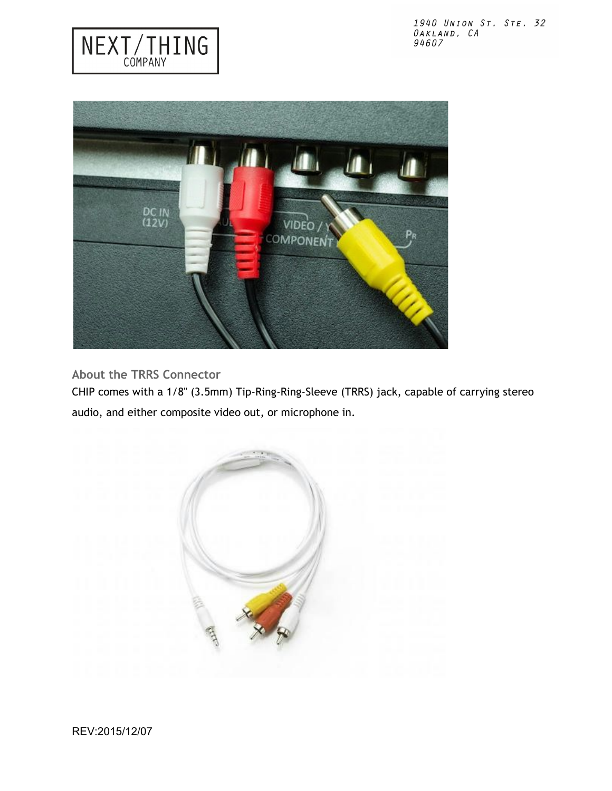

<span id="page-6-0"></span>**About the TRRS Connector** 

NEXT/THING

CHIP comes with a 1/8" (3.5mm) Tip-Ring-Ring-Sleeve (TRRS) jack, capable of carrying stereo audio, and either composite video out, or microphone in.

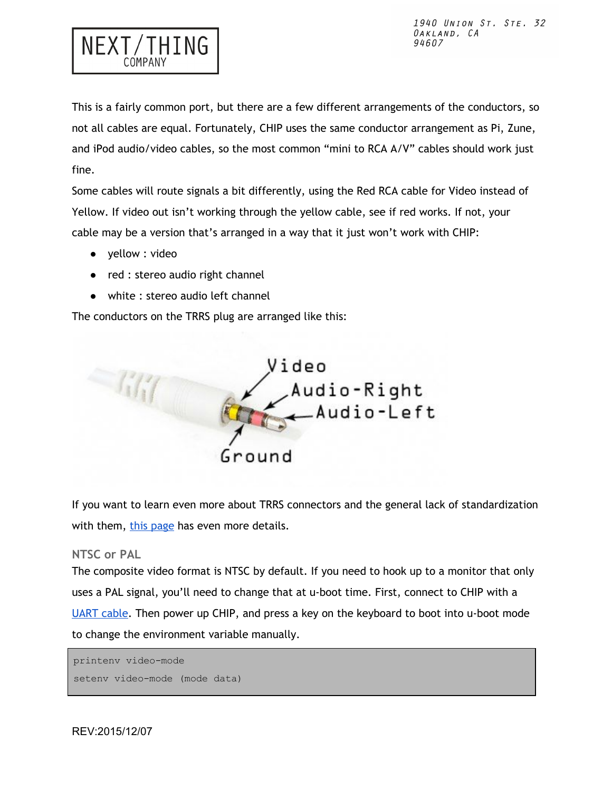

This is a fairly common port, but there are a few different arrangements of the conductors, so not all cables are equal. Fortunately, CHIP uses the same conductor arrangement as Pi, Zune, and iPod audio/video cables, so the most common "mini to RCA A/V" cables should work just fine.

Some cables will route signals a bit differently, using the Red RCA cable for Video instead of Yellow. If video out isn't working through the yellow cable, see if red works. If not, your cable may be a version that's arranged in a way that it just won't work with CHIP:

- yellow : video
- red : stereo audio right channel
- white : stereo audio left channel

The conductors on the TRRS plug are arranged like this:



If you want to learn even more about TRRS connectors and the general lack of standardization with them, [this page](http://wiki.robotz.com/index.php/TRRS_Phono_Plug) has even more details.

#### <span id="page-7-0"></span>**NTSC or PAL**

The composite video format is NTSC by default. If you need to hook up to a monitor that only uses a PAL signal, you'll need to change that at u-boot time. First, connect to CHIP with a [UART cable.](http://nyboer.github.io/slate/#usb-to-uart-serial-connection) Then power up CHIP, and press a key on the keyboard to boot into u-boot mode to change the environment variable manually.

```
printenv video-mode
setenv video-mode (mode data)
```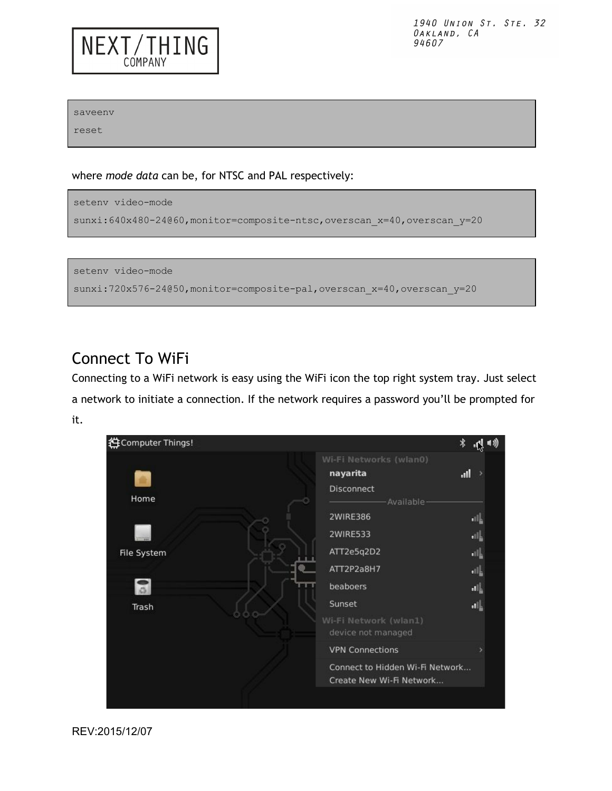saveenv

NEXT/THING

COMPANY

reset

where *mode data* can be, for NTSC and PAL respectively:



setenv video-mode sunxi:720x576-24050,monitor=composite-pal,overscan\_x=40,overscan\_y=20

### <span id="page-8-0"></span>Connect To WiFi

Connecting to a WiFi network is easy using the WiFi icon the top right system tray. Just select a network to initiate a connection. If the network requires a password you'll be prompted for it.



REV:2015/12/07